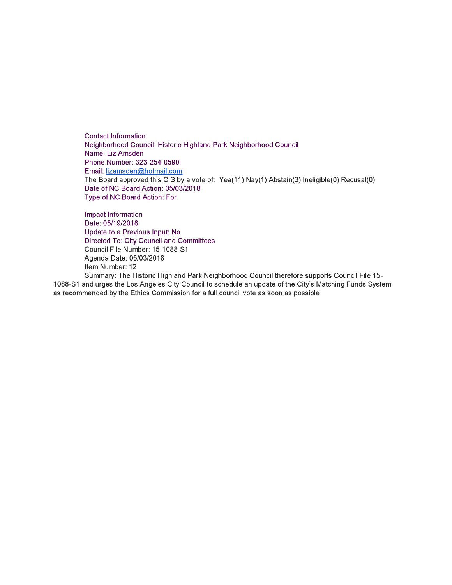Contact Information Neighborhood Council: Historic Highland Park Neighborhood Council Name: Liz Amsden Phone Number: 323-254-0590 Email: [lizamsden@hotmail.com](mailto:lizamsden@hotmail.com) The Board approved this CIS by a vote of: Yea(11) Nay(1) Abstain(3) Ineligible(0) Recusal(0) Date of NC Board Action: 05/03/2018 Type of NC Board Action: For

Impact Information Date: 05/19/2018 Update to a Previous Input: No Directed To: City Council and Committees Council File Number: 15-1088-S1 Agenda Date: 05/03/2018 Item Number: 12

Summary: The Historic Highland Park Neighborhood Council therefore supports Council File 15 1088-SI and urges the Los Angeles City Council to schedule an update of the City's Matching Funds System as recommended by the Ethics Commission for a full council vote as soon as possible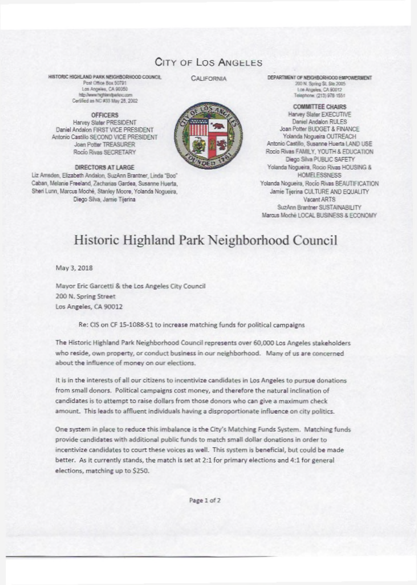## CITY OF LOS ANGELES

HISTORIC HIGHLAND PARK NFIGHRORHOOD COUNCIL Post Office Box 50791 Los Angeles, CA 90050 http://www.hohiandparknc.co Certified as NC #33 May 28, 2002

**OFFICERS** Harvey Slater PRESIDENT Daniel Andalon FIRST VICE PRESIDENT Antonio Castillo SECOND VICE PRESIDENT Joan Potter TREASURER Rocio Rivas SECRETARY

DIRECTORS AT LARGE

Liz Amsden, Elizabeth Andalon, SuzAnn Brantner, Linda "Boo" Caban, Melanie Freeland, Zacharias Gardea, Susanne Huerta, Sheri Lunn, Marcus Moché, Stanley Moore, Yolanda Nogueira, Diego Silva, Jamie Tijerina

**CALIFORNIA** 



DEPARTMENT OF NEIGHBORHOOD EMPOWERMENT 200 N. Spring St. Ste 2005 Los Angeles, CA 90012 Telephone: (213) 978-1551

**COMMITTEE CHAIRS** Harvey Slater EXECUTIVE Daniel Andalon RULES Joan Potter BUDGET & FINANCE Yolanda Nogueira OUTREACH Antonio Castillo, Susanne Huerta LAND USE Rocio Rivas FAMILY, YOUTH & EDUCATION Diego Silva PUBLIC SAFETY Yolanda Nogueira, Rocio Rivas HOUSING & **HOMELESSNESS** Yolanda Nogueira, Rocio Rivas BEAUTIFICATION Jamie Tijerina CULTURE AND EQUALITY Vacant ARTS SuzAnn Brantner SUSTAINABILITY Marcus Moché LOCAL BUSINESS & ECONOMY

## Historic Highland Park Neighborhood Council

May 3, 2018

Mayor Eric Garcetti & the Los Angeles City Council 200 N. Spring Street Los Angeles, CA 90012

Re: CIS on CF 15-1088-S1 to increase matching funds for political campaigns

The Historic Highland Park Neighborhood Council represents over 60,000 Los Angeles stakeholders who reside, own property, or conduct business in our neighborhood. Many of us are concerned about the influence of money on our elections.

It is in the interests of all our citizens to incentivize candidates in Los Angeles to pursue donations from small donors. Political campaigns cost money, and therefore the natural inclination of candidates is to attempt to raise dollars from those donors who can give a maximum check amount. This leads to affluent individuals having a disproportionate influence on city politics.

One system in place to reduce this imbalance is the City's Matching Funds System. Matching funds provide candidates with additional public funds to match small dollar donations in order to incentivize candidates to court these voices as well. This system is beneficial, but could be made better. As it currently stands, the match is set at 2:1 for primary elections and 4:1 for general elections, matching up to \$250.

Page 1 of 2